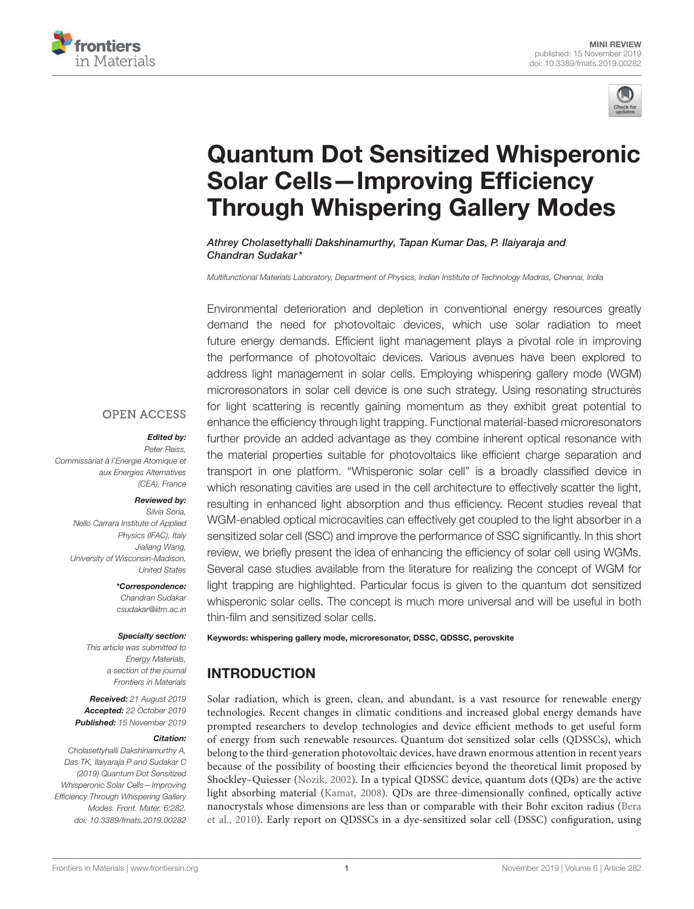



# [Quantum Dot Sensitized Whisperonic](https://www.frontiersin.org/articles/10.3389/fmats.2019.00282/full) Solar Cells—Improving Efficiency Through Whispering Gallery Modes

[Athrey Cholasettyhalli Dakshinamurthy,](http://loop.frontiersin.org/people/735536/overview) [Tapan Kumar Das,](http://loop.frontiersin.org/people/794865/overview) [P. Ilaiyaraja](http://loop.frontiersin.org/people/812704/overview) and [Chandran Sudakar\\*](http://loop.frontiersin.org/people/737095/overview)

Multifunctional Materials Laboratory, Department of Physics, Indian Institute of Technology Madras, Chennai, India

Environmental deterioration and depletion in conventional energy resources greatly demand the need for photovoltaic devices, which use solar radiation to meet future energy demands. Efficient light management plays a pivotal role in improving the performance of photovoltaic devices. Various avenues have been explored to address light management in solar cells. Employing whispering gallery mode (WGM) microresonators in solar cell device is one such strategy. Using resonating structures for light scattering is recently gaining momentum as they exhibit great potential to enhance the efficiency through light trapping. Functional material-based microresonators further provide an added advantage as they combine inherent optical resonance with the material properties suitable for photovoltaics like efficient charge separation and transport in one platform. "Whisperonic solar cell" is a broadly classified device in which resonating cavities are used in the cell architecture to effectively scatter the light, resulting in enhanced light absorption and thus efficiency. Recent studies reveal that WGM-enabled optical microcavities can effectively get coupled to the light absorber in a sensitized solar cell (SSC) and improve the performance of SSC significantly. In this short review, we briefly present the idea of enhancing the efficiency of solar cell using WGMs. Several case studies available from the literature for realizing the concept of WGM for light trapping are highlighted. Particular focus is given to the quantum dot sensitized whisperonic solar cells. The concept is much more universal and will be useful in both thin-film and sensitized solar cells.

Keywords: whispering gallery mode, microresonator, DSSC, QDSSC, perovskite

# INTRODUCTION

Solar radiation, which is green, clean, and abundant, is a vast resource for renewable energy technologies. Recent changes in climatic conditions and increased global energy demands have prompted researchers to develop technologies and device efficient methods to get useful form of energy from such renewable resources. Quantum dot sensitized solar cells (QDSSCs), which belong to the third-generation photovoltaic devices, have drawn enormous attention in recent years because of the possibility of boosting their efficiencies beyond the theoretical limit proposed by Shockley–Quiesser [\(Nozik, 2002\)](#page-7-0). In a typical QDSSC device, quantum dots (QDs) are the active light absorbing material [\(Kamat, 2008\)](#page-6-0). QDs are three-dimensionally confined, optically active nanocrystals whose dimensions are less than or comparable with their Bohr exciton radius (Bera et al., [2010\)](#page-6-1). Early report on QDSSCs in a dye-sensitized solar cell (DSSC) configuration, using

#### **OPEN ACCESS**

#### Edited by:

Peter Reiss, Commissariat à l'Energie Atomique et aux Energies Alternatives (CEA), France

#### Reviewed by:

Silvia Soria, Nello Carrara Institute of Applied Physics (IFAC), Italy Jialiang Wang, University of Wisconsin-Madison, United States

> \*Correspondence: Chandran Sudakar [csudakar@iitm.ac.in](mailto:csudakar@iitm.ac.in)

#### Specialty section:

This article was submitted to Energy Materials, a section of the journal Frontiers in Materials

Received: 21 August 2019 Accepted: 22 October 2019 Published: 15 November 2019

#### Citation:

Cholasettyhalli Dakshinamurthy A, Das TK, Ilaiyaraja P and Sudakar C (2019) Quantum Dot Sensitized Whisperonic Solar Cells—Improving Efficiency Through Whispering Gallery Modes. Front. Mater. 6:282. doi: [10.3389/fmats.2019.00282](https://doi.org/10.3389/fmats.2019.00282)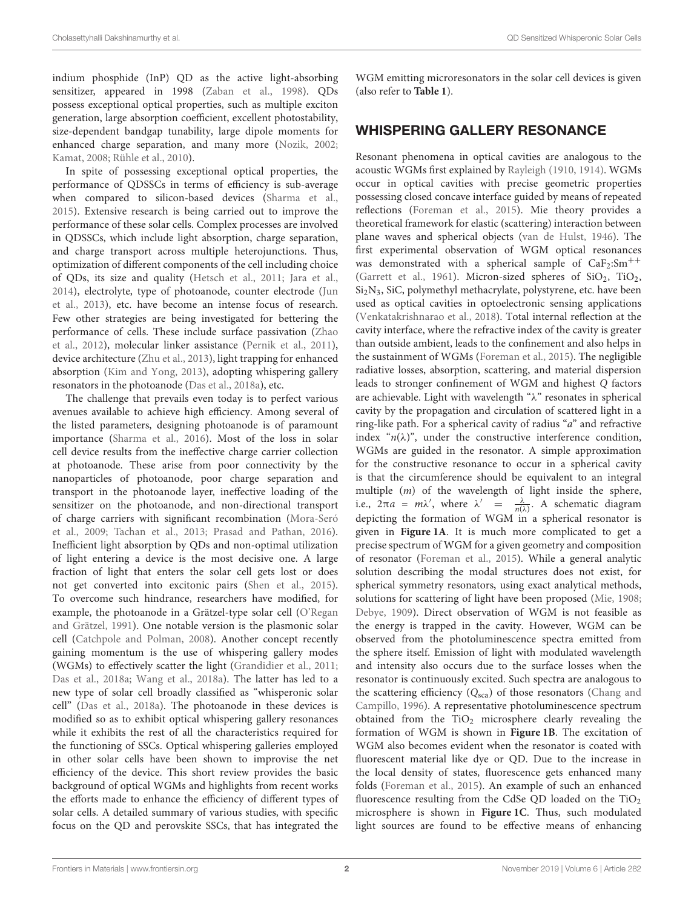indium phosphide (InP) QD as the active light-absorbing sensitizer, appeared in 1998 [\(Zaban et al., 1998\)](#page-7-1). QDs possess exceptional optical properties, such as multiple exciton generation, large absorption coefficient, excellent photostability, size-dependent bandgap tunability, large dipole moments for enhanced charge separation, and many more [\(Nozik, 2002;](#page-7-0) [Kamat, 2008;](#page-6-0) [Rühle et al., 2010\)](#page-7-2).

In spite of possessing exceptional optical properties, the performance of QDSSCs in terms of efficiency is sub-average when compared to silicon-based devices [\(Sharma et al.,](#page-7-3) [2015\)](#page-7-3). Extensive research is being carried out to improve the performance of these solar cells. Complex processes are involved in QDSSCs, which include light absorption, charge separation, and charge transport across multiple heterojunctions. Thus, optimization of different components of the cell including choice of QDs, its size and quality [\(Hetsch et al., 2011;](#page-6-2) [Jara et al.,](#page-6-3) [2014\)](#page-6-3), electrolyte, type of photoanode, counter electrode (Jun et al., [2013\)](#page-6-4), etc. have become an intense focus of research. Few other strategies are being investigated for bettering the performance of cells. These include surface passivation (Zhao et al., [2012\)](#page-7-4), molecular linker assistance [\(Pernik et al., 2011\)](#page-7-5), device architecture [\(Zhu et al., 2013\)](#page-7-6), light trapping for enhanced absorption [\(Kim and Yong, 2013\)](#page-6-5), adopting whispering gallery resonators in the photoanode [\(Das et al., 2018a\)](#page-6-6), etc.

The challenge that prevails even today is to perfect various avenues available to achieve high efficiency. Among several of the listed parameters, designing photoanode is of paramount importance [\(Sharma et al., 2016\)](#page-7-7). Most of the loss in solar cell device results from the ineffective charge carrier collection at photoanode. These arise from poor connectivity by the nanoparticles of photoanode, poor charge separation and transport in the photoanode layer, ineffective loading of the sensitizer on the photoanode, and non-directional transport of charge carriers with significant recombination (Mora-Seró et al., [2009;](#page-7-8) [Tachan et al., 2013;](#page-7-9) [Prasad and Pathan, 2016\)](#page-7-10). Inefficient light absorption by QDs and non-optimal utilization of light entering a device is the most decisive one. A large fraction of light that enters the solar cell gets lost or does not get converted into excitonic pairs [\(Shen et al., 2015\)](#page-7-11). To overcome such hindrance, researchers have modified, for example, the photoanode in a Grätzel-type solar cell (O'Regan and Grätzel, [1991\)](#page-7-12). One notable version is the plasmonic solar cell [\(Catchpole and Polman, 2008\)](#page-6-7). Another concept recently gaining momentum is the use of whispering gallery modes (WGMs) to effectively scatter the light [\(Grandidier et al., 2011;](#page-6-8) [Das et al., 2018a;](#page-6-6) [Wang et al., 2018a\)](#page-7-13). The latter has led to a new type of solar cell broadly classified as "whisperonic solar cell" [\(Das et al., 2018a\)](#page-6-6). The photoanode in these devices is modified so as to exhibit optical whispering gallery resonances while it exhibits the rest of all the characteristics required for the functioning of SSCs. Optical whispering galleries employed in other solar cells have been shown to improvise the net efficiency of the device. This short review provides the basic background of optical WGMs and highlights from recent works the efforts made to enhance the efficiency of different types of solar cells. A detailed summary of various studies, with specific focus on the QD and perovskite SSCs, that has integrated the WGM emitting microresonators in the solar cell devices is given (also refer to **[Table 1](#page-2-0)**).

# WHISPERING GALLERY RESONANCE

Resonant phenomena in optical cavities are analogous to the acoustic WGMs first explained by [Rayleigh \(1910,](#page-7-14) [1914\)](#page-7-15). WGMs occur in optical cavities with precise geometric properties possessing closed concave interface guided by means of repeated reflections [\(Foreman et al., 2015\)](#page-6-9). Mie theory provides a theoretical framework for elastic (scattering) interaction between plane waves and spherical objects [\(van de Hulst, 1946\)](#page-7-16). The first experimental observation of WGM optical resonances was demonstrated with a spherical sample of  $CaF<sub>2</sub>:Sm<sup>++</sup>$ [\(Garrett et al., 1961\)](#page-6-10). Micron-sized spheres of  $SiO<sub>2</sub>$ ,  $TiO<sub>2</sub>$ , Si2N3, SiC, polymethyl methacrylate, polystyrene, etc. have been used as optical cavities in optoelectronic sensing applications [\(Venkatakrishnarao et al., 2018\)](#page-7-17). Total internal reflection at the cavity interface, where the refractive index of the cavity is greater than outside ambient, leads to the confinement and also helps in the sustainment of WGMs [\(Foreman et al., 2015\)](#page-6-9). The negligible radiative losses, absorption, scattering, and material dispersion leads to stronger confinement of WGM and highest Q factors are achievable. Light with wavelength "λ" resonates in spherical cavity by the propagation and circulation of scattered light in a ring-like path. For a spherical cavity of radius " $a$ " and refractive index " $n(\lambda)$ ", under the constructive interference condition, WGMs are guided in the resonator. A simple approximation for the constructive resonance to occur in a spherical cavity is that the circumference should be equivalent to an integral multiple (m) of the wavelength of light inside the sphere, i.e.,  $2\pi a = m\lambda'$ , where  $\lambda' = \frac{\lambda}{n(\lambda)}$ . A schematic diagram depicting the formation of WGM in a spherical resonator is given in **[Figure 1A](#page-3-0)**. It is much more complicated to get a precise spectrum of WGM for a given geometry and composition of resonator [\(Foreman et al., 2015\)](#page-6-9). While a general analytic solution describing the modal structures does not exist, for spherical symmetry resonators, using exact analytical methods, solutions for scattering of light have been proposed [\(Mie, 1908;](#page-6-11) [Debye, 1909\)](#page-6-12). Direct observation of WGM is not feasible as the energy is trapped in the cavity. However, WGM can be observed from the photoluminescence spectra emitted from the sphere itself. Emission of light with modulated wavelength and intensity also occurs due to the surface losses when the resonator is continuously excited. Such spectra are analogous to the scattering efficiency  $(Q_{sca})$  of those resonators (Chang and Campillo, [1996\)](#page-6-13). A representative photoluminescence spectrum obtained from the  $TiO<sub>2</sub>$  microsphere clearly revealing the formation of WGM is shown in **[Figure 1B](#page-3-0)**. The excitation of WGM also becomes evident when the resonator is coated with fluorescent material like dye or QD. Due to the increase in the local density of states, fluorescence gets enhanced many folds [\(Foreman et al., 2015\)](#page-6-9). An example of such an enhanced fluorescence resulting from the CdSe QD loaded on the  $TiO<sub>2</sub>$ microsphere is shown in **[Figure 1C](#page-3-0)**. Thus, such modulated light sources are found to be effective means of enhancing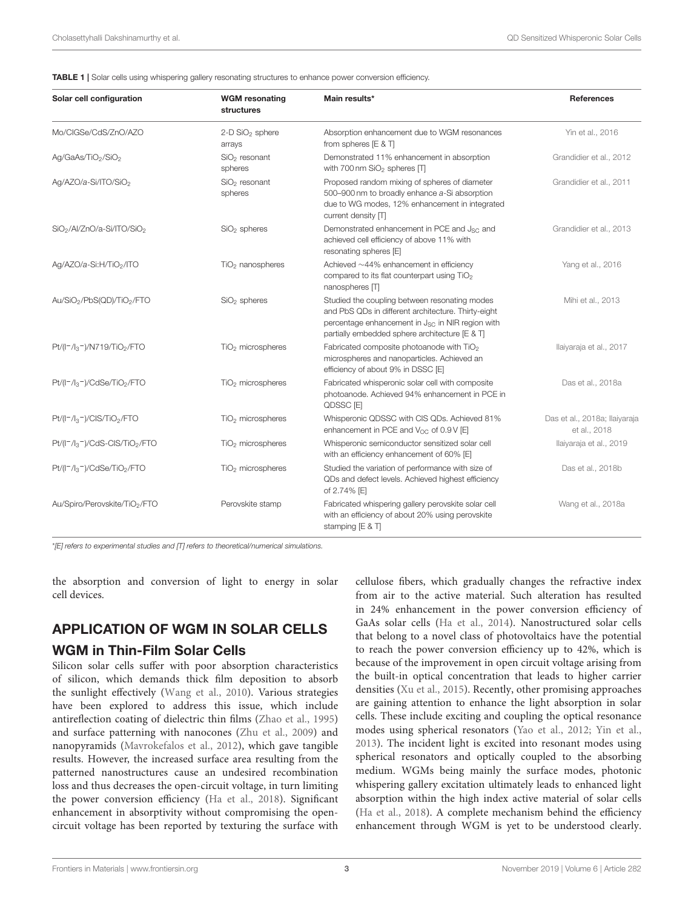<span id="page-2-0"></span>TABLE 1 | Solar cells using whispering gallery resonating structures to enhance power conversion efficiency.

| Solar cell configuration                                                     | <b>WGM</b> resonating<br>structures   | Main results*                                                                                                                                                                                                          | <b>References</b>                             |
|------------------------------------------------------------------------------|---------------------------------------|------------------------------------------------------------------------------------------------------------------------------------------------------------------------------------------------------------------------|-----------------------------------------------|
| Mo/CIGSe/CdS/ZnO/AZO                                                         | 2-D SiO <sub>2</sub> sphere<br>arrays | Absorption enhancement due to WGM resonances<br>from spheres $[E 8 T]$                                                                                                                                                 | Yin et al., 2016                              |
| Ag/GaAs/TiO <sub>2</sub> /SiO <sub>2</sub>                                   | $SiO2$ resonant<br>spheres            | Demonstrated 11% enhancement in absorption<br>with 700 nm SiO <sub>2</sub> spheres [T]                                                                                                                                 | Grandidier et al., 2012                       |
| Ag/AZO/a-Si/ITO/SiO <sub>2</sub>                                             | $SiO2$ resonant<br>spheres            | Proposed random mixing of spheres of diameter<br>500-900 nm to broadly enhance a-Si absorption<br>due to WG modes, 12% enhancement in integrated<br>current density $\Box$                                             | Grandidier et al., 2011                       |
| SiO <sub>2</sub> /Al/ZnO/a-Si/ITO/SiO <sub>2</sub>                           | $SiO2$ spheres                        | Demonstrated enhancement in PCE and J <sub>SC</sub> and<br>achieved cell efficiency of above 11% with<br>resonating spheres [E]                                                                                        | Grandidier et al., 2013                       |
| Ag/AZO/a-Si:H/TiO <sub>2</sub> /ITO                                          | TiO <sub>2</sub> nanospheres          | Achieved $\sim$ 44% enhancement in efficiency<br>compared to its flat counterpart using TiO <sub>2</sub><br>nanospheres [T]                                                                                            | Yang et al., 2016                             |
| Au/SiO <sub>2</sub> /PbS(QD)/TiO <sub>2</sub> /FTO                           | $SiO2$ spheres                        | Studied the coupling between resonating modes<br>and PbS QDs in different architecture. Thirty-eight<br>percentage enhancement in J <sub>SC</sub> in NIR region with<br>partially embedded sphere architecture [E & T] | Mihi et al., 2013                             |
| $Pt/(I^*/I_3^-)/N719/TiO_2/FTO$                                              | TiO <sub>2</sub> microspheres         | Fabricated composite photoanode with TiO <sub>2</sub><br>microspheres and nanoparticles. Achieved an<br>efficiency of about 9% in DSSC [E]                                                                             | Ilaiyaraja et al., 2017                       |
| Pt/(I <sup>-</sup> /l <sub>3</sub> <sup>-</sup> )/CdSe/TiO <sub>2</sub> /FTO | TiO <sub>2</sub> microspheres         | Fabricated whisperonic solar cell with composite<br>photoanode. Achieved 94% enhancement in PCE in<br>QDSSC <sub>[E]</sub>                                                                                             | Das et al., 2018a                             |
| $Pt/(I^-/I_3^-)/CIS/TiO_2/FTO$                                               | TiO <sub>2</sub> microspheres         | Whisperonic QDSSC with CIS QDs. Achieved 81%<br>enhancement in PCE and $V_{OC}$ of 0.9 V [E]                                                                                                                           | Das et al., 2018a; llaiyaraja<br>et al., 2018 |
| $Pt/(I^-/I_3^-)/CdS-CIS/TiO_2/FTO$                                           | TiO <sub>2</sub> microspheres         | Whisperonic semiconductor sensitized solar cell<br>with an efficiency enhancement of 60% [E]                                                                                                                           | llaiyaraja et al., 2019                       |
| Pt/(I <sup>-</sup> /l <sub>3</sub> <sup>-</sup> )/CdSe/TiO <sub>2</sub> /FTO | TiO <sub>2</sub> microspheres         | Studied the variation of performance with size of<br>QDs and defect levels. Achieved highest efficiency<br>of 2.74% [E]                                                                                                | Das et al., 2018b                             |
| Au/Spiro/Perovskite/TiO2/FTO                                                 | Perovskite stamp                      | Fabricated whispering gallery perovskite solar cell<br>with an efficiency of about 20% using perovskite<br>stamping [E & T]                                                                                            | Wang et al., 2018a                            |

\*[E] refers to experimental studies and [T] refers to theoretical/numerical simulations.

the absorption and conversion of light to energy in solar cell devices.

# APPLICATION OF WGM IN SOLAR CELLS

## WGM in Thin-Film Solar Cells

Silicon solar cells suffer with poor absorption characteristics of silicon, which demands thick film deposition to absorb the sunlight effectively [\(Wang et al., 2010\)](#page-7-20). Various strategies have been explored to address this issue, which include antireflection coating of dielectric thin films [\(Zhao et al., 1995\)](#page-7-21) and surface patterning with nanocones [\(Zhu et al., 2009\)](#page-7-22) and nanopyramids [\(Mavrokefalos et al., 2012\)](#page-6-21), which gave tangible results. However, the increased surface area resulting from the patterned nanostructures cause an undesired recombination loss and thus decreases the open-circuit voltage, in turn limiting the power conversion efficiency [\(Ha et al., 2018\)](#page-6-22). Significant enhancement in absorptivity without compromising the opencircuit voltage has been reported by texturing the surface with

cellulose fibers, which gradually changes the refractive index from air to the active material. Such alteration has resulted in 24% enhancement in the power conversion efficiency of GaAs solar cells [\(Ha et al., 2014\)](#page-6-23). Nanostructured solar cells that belong to a novel class of photovoltaics have the potential to reach the power conversion efficiency up to 42%, which is because of the improvement in open circuit voltage arising from the built-in optical concentration that leads to higher carrier densities [\(Xu et al., 2015\)](#page-7-23). Recently, other promising approaches are gaining attention to enhance the light absorption in solar cells. These include exciting and coupling the optical resonance modes using spherical resonators [\(Yao et al., 2012;](#page-7-24) [Yin et al.,](#page-7-25) [2013\)](#page-7-25). The incident light is excited into resonant modes using spherical resonators and optically coupled to the absorbing medium. WGMs being mainly the surface modes, photonic whispering gallery excitation ultimately leads to enhanced light absorption within the high index active material of solar cells [\(Ha et al., 2018\)](#page-6-22). A complete mechanism behind the efficiency enhancement through WGM is yet to be understood clearly.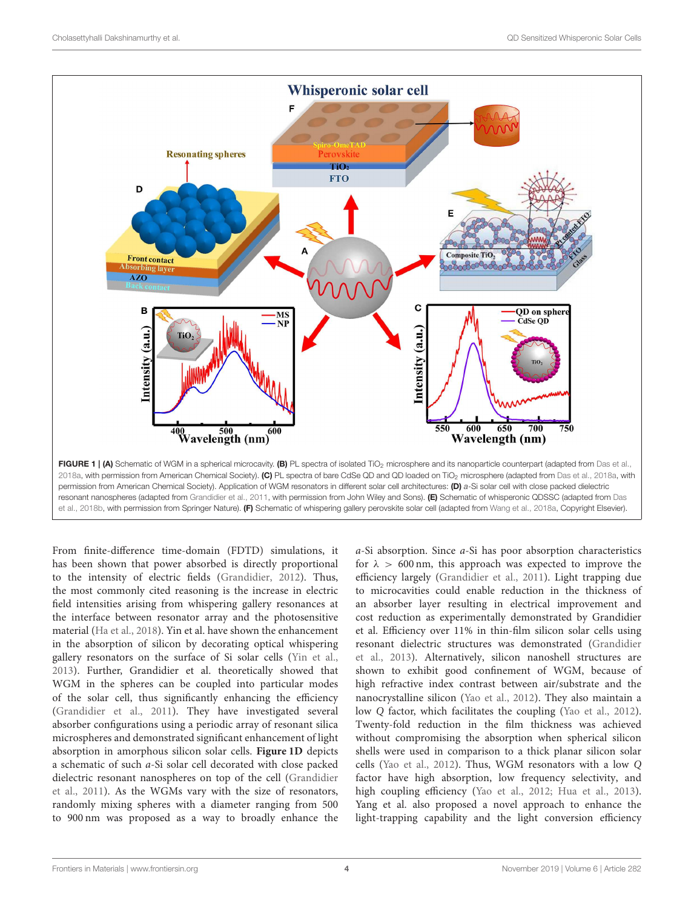

<span id="page-3-0"></span>permission from American Chemical Society). Application of WGM resonators in different solar cell architectures: (D) a-Si solar cell with close packed dielectric resonant nanospheres (adapted from [Grandidier et al., 2011,](#page-6-8) with permission from John Wiley and Sons). (E) Schematic of whisperonic QDSSC (adapted from Das et al., [2018b,](#page-6-20) with permission from Springer Nature). (F) Schematic of whispering gallery perovskite solar cell (adapted from [Wang et al., 2018a,](#page-7-13) Copyright Elsevier).

From finite-difference time-domain (FDTD) simulations, it has been shown that power absorbed is directly proportional to the intensity of electric fields [\(Grandidier, 2012\)](#page-6-24). Thus, the most commonly cited reasoning is the increase in electric field intensities arising from whispering gallery resonances at the interface between resonator array and the photosensitive material [\(Ha et al., 2018\)](#page-6-22). Yin et al. have shown the enhancement in the absorption of silicon by decorating optical whispering gallery resonators on the surface of Si solar cells [\(Yin et al.,](#page-7-25) [2013\)](#page-7-25). Further, Grandidier et al. theoretically showed that WGM in the spheres can be coupled into particular modes of the solar cell, thus significantly enhancing the efficiency [\(Grandidier et al., 2011\)](#page-6-8). They have investigated several absorber configurations using a periodic array of resonant silica microspheres and demonstrated significant enhancement of light absorption in amorphous silicon solar cells. **[Figure 1D](#page-3-0)** depicts a schematic of such a-Si solar cell decorated with close packed dielectric resonant nanospheres on top of the cell (Grandidier et al., [2011\)](#page-6-8). As the WGMs vary with the size of resonators, randomly mixing spheres with a diameter ranging from 500 to 900 nm was proposed as a way to broadly enhance the

a-Si absorption. Since a-Si has poor absorption characteristics for  $\lambda > 600$  nm, this approach was expected to improve the efficiency largely [\(Grandidier et al., 2011\)](#page-6-8). Light trapping due to microcavities could enable reduction in the thickness of an absorber layer resulting in electrical improvement and cost reduction as experimentally demonstrated by Grandidier et al. Efficiency over 11% in thin-film silicon solar cells using resonant dielectric structures was demonstrated (Grandidier et al., [2013\)](#page-6-15). Alternatively, silicon nanoshell structures are shown to exhibit good confinement of WGM, because of high refractive index contrast between air/substrate and the nanocrystalline silicon [\(Yao et al., 2012\)](#page-7-24). They also maintain a low Q factor, which facilitates the coupling [\(Yao et al., 2012\)](#page-7-24). Twenty-fold reduction in the film thickness was achieved without compromising the absorption when spherical silicon shells were used in comparison to a thick planar silicon solar cells [\(Yao et al., 2012\)](#page-7-24). Thus, WGM resonators with a low Q factor have high absorption, low frequency selectivity, and high coupling efficiency [\(Yao et al., 2012;](#page-7-24) [Hua et al., 2013\)](#page-6-25). Yang et al. also proposed a novel approach to enhance the light-trapping capability and the light conversion efficiency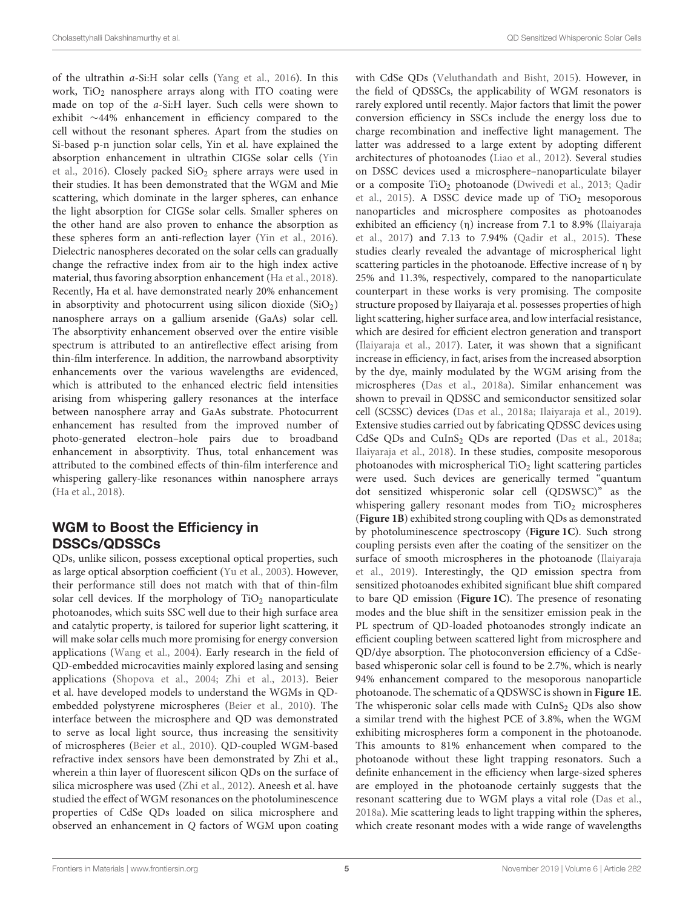of the ultrathin a-Si:H solar cells [\(Yang et al., 2016\)](#page-7-19). In this work,  $TiO<sub>2</sub>$  nanosphere arrays along with ITO coating were made on top of the a-Si:H layer. Such cells were shown to exhibit ∼44% enhancement in efficiency compared to the cell without the resonant spheres. Apart from the studies on Si-based p-n junction solar cells, Yin et al. have explained the absorption enhancement in ultrathin CIGSe solar cells (Yin et al., [2016\)](#page-7-18). Closely packed  $SiO<sub>2</sub>$  sphere arrays were used in their studies. It has been demonstrated that the WGM and Mie scattering, which dominate in the larger spheres, can enhance the light absorption for CIGSe solar cells. Smaller spheres on the other hand are also proven to enhance the absorption as these spheres form an anti-reflection layer [\(Yin et al., 2016\)](#page-7-18). Dielectric nanospheres decorated on the solar cells can gradually change the refractive index from air to the high index active material, thus favoring absorption enhancement [\(Ha et al., 2018\)](#page-6-22). Recently, Ha et al. have demonstrated nearly 20% enhancement in absorptivity and photocurrent using silicon dioxide  $(SiO<sub>2</sub>)$ nanosphere arrays on a gallium arsenide (GaAs) solar cell. The absorptivity enhancement observed over the entire visible spectrum is attributed to an antireflective effect arising from thin-film interference. In addition, the narrowband absorptivity enhancements over the various wavelengths are evidenced, which is attributed to the enhanced electric field intensities arising from whispering gallery resonances at the interface between nanosphere array and GaAs substrate. Photocurrent enhancement has resulted from the improved number of photo-generated electron–hole pairs due to broadband enhancement in absorptivity. Thus, total enhancement was attributed to the combined effects of thin-film interference and whispering gallery-like resonances within nanosphere arrays [\(Ha et al., 2018\)](#page-6-22).

# WGM to Boost the Efficiency in DSSCs/QDSSCs

QDs, unlike silicon, possess exceptional optical properties, such as large optical absorption coefficient [\(Yu et al., 2003\)](#page-7-26). However, their performance still does not match with that of thin-film solar cell devices. If the morphology of  $TiO<sub>2</sub>$  nanoparticulate photoanodes, which suits SSC well due to their high surface area and catalytic property, is tailored for superior light scattering, it will make solar cells much more promising for energy conversion applications [\(Wang et al., 2004\)](#page-7-27). Early research in the field of QD-embedded microcavities mainly explored lasing and sensing applications [\(Shopova et al., 2004;](#page-7-28) [Zhi et al., 2013\)](#page-7-29). Beier et al. have developed models to understand the WGMs in QDembedded polystyrene microspheres [\(Beier et al., 2010\)](#page-6-26). The interface between the microsphere and QD was demonstrated to serve as local light source, thus increasing the sensitivity of microspheres [\(Beier et al., 2010\)](#page-6-26). QD-coupled WGM-based refractive index sensors have been demonstrated by Zhi et al., wherein a thin layer of fluorescent silicon QDs on the surface of silica microsphere was used [\(Zhi et al., 2012\)](#page-7-30). Aneesh et al. have studied the effect of WGM resonances on the photoluminescence properties of CdSe QDs loaded on silica microsphere and observed an enhancement in Q factors of WGM upon coating with CdSe QDs [\(Veluthandath and Bisht, 2015\)](#page-7-31). However, in the field of QDSSCs, the applicability of WGM resonators is rarely explored until recently. Major factors that limit the power conversion efficiency in SSCs include the energy loss due to charge recombination and ineffective light management. The latter was addressed to a large extent by adopting different architectures of photoanodes [\(Liao et al., 2012\)](#page-6-27). Several studies on DSSC devices used a microsphere–nanoparticulate bilayer or a composite TiO<sub>2</sub> photoanode [\(Dwivedi et al., 2013;](#page-6-28) Qadir et al., [2015\)](#page-7-32). A DSSC device made up of  $TiO<sub>2</sub>$  mesoporous nanoparticles and microsphere composites as photoanodes exhibited an efficiency (η) increase from 7.1 to 8.9% (Ilaiyaraja et al., [2017\)](#page-6-17) and 7.13 to 7.94% [\(Qadir et al., 2015\)](#page-7-32). These studies clearly revealed the advantage of microspherical light scattering particles in the photoanode. Effective increase of η by 25% and 11.3%, respectively, compared to the nanoparticulate counterpart in these works is very promising. The composite structure proposed by Ilaiyaraja et al. possesses properties of high light scattering, higher surface area, and low interfacial resistance, which are desired for efficient electron generation and transport [\(Ilaiyaraja et al., 2017\)](#page-6-17). Later, it was shown that a significant increase in efficiency, in fact, arises from the increased absorption by the dye, mainly modulated by the WGM arising from the microspheres [\(Das et al., 2018a\)](#page-6-6). Similar enhancement was shown to prevail in QDSSC and semiconductor sensitized solar cell (SCSSC) devices [\(Das et al., 2018a;](#page-6-6) [Ilaiyaraja et al., 2019\)](#page-6-19). Extensive studies carried out by fabricating QDSSC devices using CdSe QDs and CuInS<sub>2</sub> QDs are reported [\(Das et al., 2018a;](#page-6-6) [Ilaiyaraja et al., 2018\)](#page-6-18). In these studies, composite mesoporous photoanodes with microspherical  $TiO<sub>2</sub>$  light scattering particles were used. Such devices are generically termed "quantum dot sensitized whisperonic solar cell (QDSWSC)" as the whispering gallery resonant modes from  $TiO<sub>2</sub>$  microspheres (**[Figure 1B](#page-3-0)**) exhibited strong coupling with QDs as demonstrated by photoluminescence spectroscopy (**[Figure 1C](#page-3-0)**). Such strong coupling persists even after the coating of the sensitizer on the surface of smooth microspheres in the photoanode (Ilaiyaraja et al., [2019\)](#page-6-19). Interestingly, the QD emission spectra from sensitized photoanodes exhibited significant blue shift compared to bare QD emission (**[Figure 1C](#page-3-0)**). The presence of resonating modes and the blue shift in the sensitizer emission peak in the PL spectrum of QD-loaded photoanodes strongly indicate an efficient coupling between scattered light from microsphere and QD/dye absorption. The photoconversion efficiency of a CdSebased whisperonic solar cell is found to be 2.7%, which is nearly 94% enhancement compared to the mesoporous nanoparticle photoanode. The schematic of a QDSWSC is shown in **[Figure 1E](#page-3-0)**. The whisperonic solar cells made with  $CuInS<sub>2</sub>$  QDs also show a similar trend with the highest PCE of 3.8%, when the WGM exhibiting microspheres form a component in the photoanode. This amounts to 81% enhancement when compared to the photoanode without these light trapping resonators. Such a definite enhancement in the efficiency when large-sized spheres are employed in the photoanode certainly suggests that the resonant scattering due to WGM plays a vital role [\(Das et al.,](#page-6-6) [2018a\)](#page-6-6). Mie scattering leads to light trapping within the spheres, which create resonant modes with a wide range of wavelengths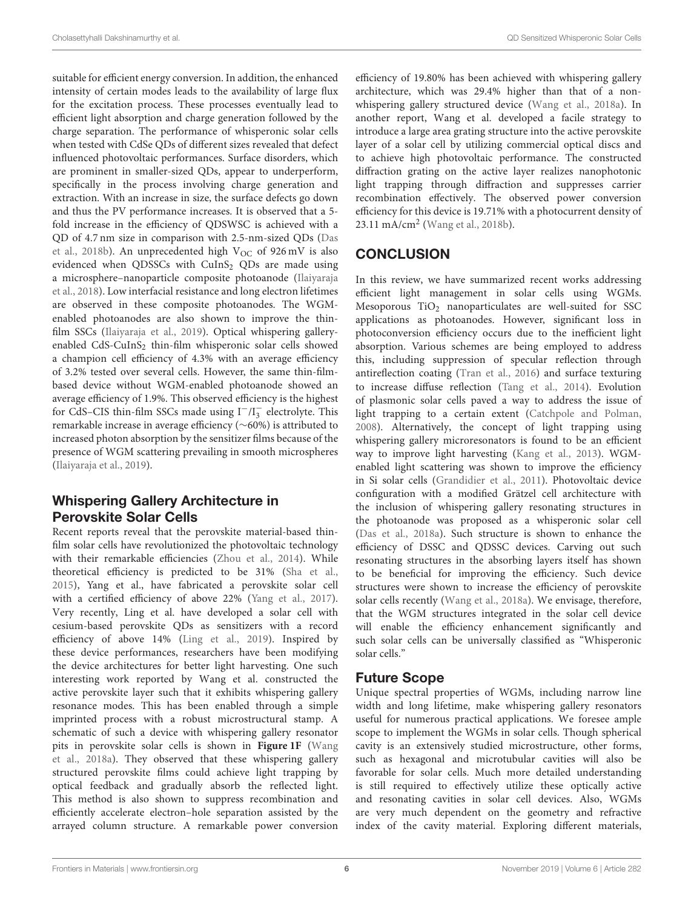suitable for efficient energy conversion. In addition, the enhanced intensity of certain modes leads to the availability of large flux for the excitation process. These processes eventually lead to efficient light absorption and charge generation followed by the charge separation. The performance of whisperonic solar cells when tested with CdSe QDs of different sizes revealed that defect influenced photovoltaic performances. Surface disorders, which are prominent in smaller-sized QDs, appear to underperform, specifically in the process involving charge generation and extraction. With an increase in size, the surface defects go down and thus the PV performance increases. It is observed that a 5 fold increase in the efficiency of QDSWSC is achieved with a QD of 4.7 nm size in comparison with 2.5-nm-sized QDs (Das et al., [2018b\)](#page-6-20). An unprecedented high  $V_{OC}$  of 926 mV is also evidenced when QDSSCs with CuInS<sub>2</sub> QDs are made using a microsphere–nanoparticle composite photoanode (Ilaiyaraja et al., [2018\)](#page-6-18). Low interfacial resistance and long electron lifetimes are observed in these composite photoanodes. The WGMenabled photoanodes are also shown to improve the thinfilm SSCs [\(Ilaiyaraja et al., 2019\)](#page-6-19). Optical whispering galleryenabled  $CdS-CuInS<sub>2</sub>$  thin-film whisperonic solar cells showed a champion cell efficiency of 4.3% with an average efficiency of 3.2% tested over several cells. However, the same thin-filmbased device without WGM-enabled photoanode showed an average efficiency of 1.9%. This observed efficiency is the highest for CdS–CIS thin-film SSCs made using I<sup>-</sup>/I<sub>3</sub> electrolyte. This remarkable increase in average efficiency (∼60%) is attributed to increased photon absorption by the sensitizer films because of the presence of WGM scattering prevailing in smooth microspheres [\(Ilaiyaraja et al., 2019\)](#page-6-19).

# Whispering Gallery Architecture in Perovskite Solar Cells

Recent reports reveal that the perovskite material-based thinfilm solar cells have revolutionized the photovoltaic technology with their remarkable efficiencies [\(Zhou et al., 2014\)](#page-7-33). While theoretical efficiency is predicted to be 31% [\(Sha et al.,](#page-7-34) [2015\)](#page-7-34), Yang et al., have fabricated a perovskite solar cell with a certified efficiency of above 22% [\(Yang et al., 2017\)](#page-7-35). Very recently, Ling et al. have developed a solar cell with cesium-based perovskite QDs as sensitizers with a record efficiency of above 14% [\(Ling et al., 2019\)](#page-6-29). Inspired by these device performances, researchers have been modifying the device architectures for better light harvesting. One such interesting work reported by Wang et al. constructed the active perovskite layer such that it exhibits whispering gallery resonance modes. This has been enabled through a simple imprinted process with a robust microstructural stamp. A schematic of such a device with whispering gallery resonator pits in perovskite solar cells is shown in **[Figure 1F](#page-3-0)** (Wang et al., [2018a\)](#page-7-13). They observed that these whispering gallery structured perovskite films could achieve light trapping by optical feedback and gradually absorb the reflected light. This method is also shown to suppress recombination and efficiently accelerate electron–hole separation assisted by the arrayed column structure. A remarkable power conversion

efficiency of 19.80% has been achieved with whispering gallery architecture, which was 29.4% higher than that of a nonwhispering gallery structured device [\(Wang et al., 2018a\)](#page-7-13). In another report, Wang et al. developed a facile strategy to introduce a large area grating structure into the active perovskite layer of a solar cell by utilizing commercial optical discs and to achieve high photovoltaic performance. The constructed diffraction grating on the active layer realizes nanophotonic light trapping through diffraction and suppresses carrier recombination effectively. The observed power conversion efficiency for this device is 19.71% with a photocurrent density of 23.11 mA/cm<sup>2</sup> [\(Wang et al., 2018b\)](#page-7-36).

# **CONCLUSION**

In this review, we have summarized recent works addressing efficient light management in solar cells using WGMs. Mesoporous  $TiO<sub>2</sub>$  nanoparticulates are well-suited for SSC applications as photoanodes. However, significant loss in photoconversion efficiency occurs due to the inefficient light absorption. Various schemes are being employed to address this, including suppression of specular reflection through antireflection coating [\(Tran et al., 2016\)](#page-7-37) and surface texturing to increase diffuse reflection [\(Tang et al., 2014\)](#page-7-38). Evolution of plasmonic solar cells paved a way to address the issue of light trapping to a certain extent [\(Catchpole and Polman,](#page-6-7) [2008\)](#page-6-7). Alternatively, the concept of light trapping using whispering gallery microresonators is found to be an efficient way to improve light harvesting [\(Kang et al., 2013\)](#page-6-30). WGMenabled light scattering was shown to improve the efficiency in Si solar cells [\(Grandidier et al., 2011\)](#page-6-8). Photovoltaic device configuration with a modified Grätzel cell architecture with the inclusion of whispering gallery resonating structures in the photoanode was proposed as a whisperonic solar cell [\(Das et al., 2018a\)](#page-6-6). Such structure is shown to enhance the efficiency of DSSC and QDSSC devices. Carving out such resonating structures in the absorbing layers itself has shown to be beneficial for improving the efficiency. Such device structures were shown to increase the efficiency of perovskite solar cells recently [\(Wang et al., 2018a\)](#page-7-13). We envisage, therefore, that the WGM structures integrated in the solar cell device will enable the efficiency enhancement significantly and such solar cells can be universally classified as "Whisperonic solar cells."

# Future Scope

Unique spectral properties of WGMs, including narrow line width and long lifetime, make whispering gallery resonators useful for numerous practical applications. We foresee ample scope to implement the WGMs in solar cells. Though spherical cavity is an extensively studied microstructure, other forms, such as hexagonal and microtubular cavities will also be favorable for solar cells. Much more detailed understanding is still required to effectively utilize these optically active and resonating cavities in solar cell devices. Also, WGMs are very much dependent on the geometry and refractive index of the cavity material. Exploring different materials,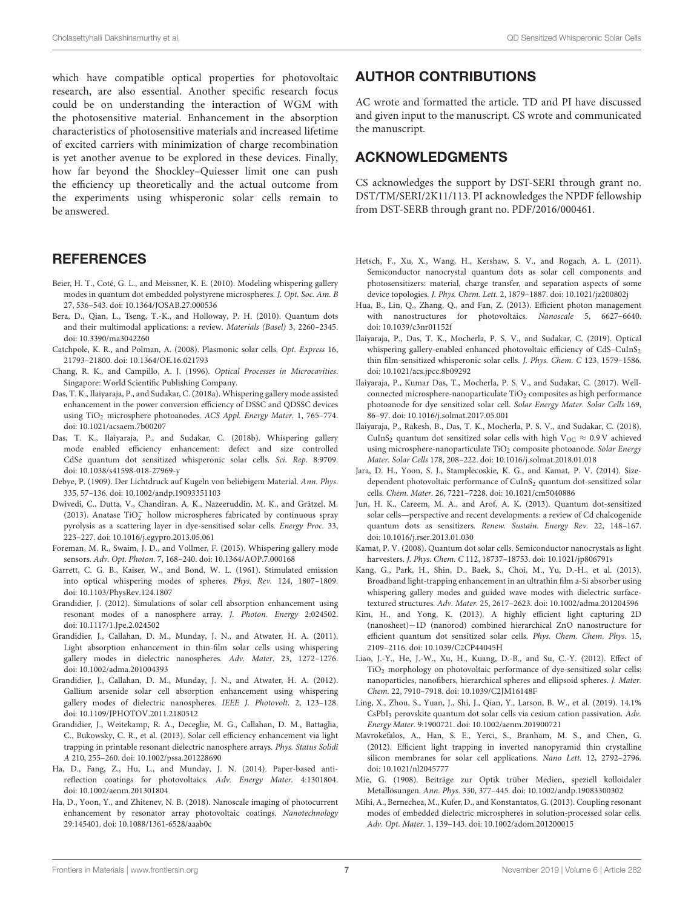which have compatible optical properties for photovoltaic research, are also essential. Another specific research focus could be on understanding the interaction of WGM with the photosensitive material. Enhancement in the absorption characteristics of photosensitive materials and increased lifetime of excited carriers with minimization of charge recombination is yet another avenue to be explored in these devices. Finally, how far beyond the Shockley–Quiesser limit one can push the efficiency up theoretically and the actual outcome from the experiments using whisperonic solar cells remain to be answered.

### **REFERENCES**

- <span id="page-6-26"></span>Beier, H. T., Coté, G. L., and Meissner, K. E. (2010). Modeling whispering gallery modes in quantum dot embedded polystyrene microspheres. J. Opt. Soc. Am. B 27, 536–543. doi: [10.1364/JOSAB.27.000536](https://doi.org/10.1364/JOSAB.27.000536)
- <span id="page-6-1"></span>Bera, D., Qian, L., Tseng, T.-K., and Holloway, P. H. (2010). Quantum dots and their multimodal applications: a review. Materials (Basel) 3, 2260–2345. doi: [10.3390/ma3042260](https://doi.org/10.3390/ma3042260)
- <span id="page-6-7"></span>Catchpole, K. R., and Polman, A. (2008). Plasmonic solar cells. Opt. Express 16, 21793–21800. doi: [10.1364/OE.16.021793](https://doi.org/10.1364/OE.16.021793)
- <span id="page-6-13"></span>Chang, R. K., and Campillo, A. J. (1996). Optical Processes in Microcavities. Singapore: World Scientific Publishing Company.
- <span id="page-6-6"></span>Das, T. K., Ilaiyaraja, P., and Sudakar, C. (2018a). Whispering gallery mode assisted enhancement in the power conversion efficiency of DSSC and QDSSC devices using TiO<sub>2</sub> microsphere photoanodes. ACS Appl. Energy Mater. 1, 765-774. doi: [10.1021/acsaem.7b00207](https://doi.org/10.1021/acsaem.7b00207)
- <span id="page-6-20"></span>Das, T. K., Ilaiyaraja, P., and Sudakar, C. (2018b). Whispering gallery mode enabled efficiency enhancement: defect and size controlled CdSe quantum dot sensitized whisperonic solar cells. Sci. Rep. 8:9709. doi: [10.1038/s41598-018-27969-y](https://doi.org/10.1038/s41598-018-27969-y)
- <span id="page-6-12"></span>Debye, P. (1909). Der Lichtdruck auf Kugeln von beliebigem Material. Ann. Phys. 335, 57–136. doi: [10.1002/andp.19093351103](https://doi.org/10.1002/andp.19093351103)
- <span id="page-6-28"></span>Dwivedi, C., Dutta, V., Chandiran, A. K., Nazeeruddin, M. K., and Grätzel, M. (2013). Anatase  $TiO<sub>2</sub><sup>-</sup>$  hollow microspheres fabricated by continuous spray pyrolysis as a scattering layer in dye-sensitised solar cells. Energy Proc. 33, 223–227. doi: [10.1016/j.egypro.2013.05.061](https://doi.org/10.1016/j.egypro.2013.05.061)
- <span id="page-6-9"></span>Foreman, M. R., Swaim, J. D., and Vollmer, F. (2015). Whispering gallery mode sensors. Adv. Opt. Photon. 7, 168–240. doi: [10.1364/AOP.7.000168](https://doi.org/10.1364/AOP.7.000168)
- <span id="page-6-10"></span>Garrett, C. G. B., Kaiser, W., and Bond, W. L. (1961). Stimulated emission into optical whispering modes of spheres. Phys. Rev. 124, 1807–1809. doi: [10.1103/PhysRev.124.1807](https://doi.org/10.1103/PhysRev.124.1807)
- <span id="page-6-24"></span>Grandidier, J. (2012). Simulations of solar cell absorption enhancement using resonant modes of a nanosphere array. J. Photon. Energy 2:024502. doi: [10.1117/1.Jpe.2.024502](https://doi.org/10.1117/1.Jpe.2.024502)
- <span id="page-6-8"></span>Grandidier, J., Callahan, D. M., Munday, J. N., and Atwater, H. A. (2011). Light absorption enhancement in thin-film solar cells using whispering gallery modes in dielectric nanospheres. Adv. Mater. 23, 1272–1276. doi: [10.1002/adma.201004393](https://doi.org/10.1002/adma.201004393)
- <span id="page-6-14"></span>Grandidier, J., Callahan, D. M., Munday, J. N., and Atwater, H. A. (2012). Gallium arsenide solar cell absorption enhancement using whispering gallery modes of dielectric nanospheres. IEEE J. Photovolt. 2, 123–128. doi: [10.1109/JPHOTOV.2011.2180512](https://doi.org/10.1109/JPHOTOV.2011.2180512)
- <span id="page-6-15"></span>Grandidier, J., Weitekamp, R. A., Deceglie, M. G., Callahan, D. M., Battaglia, C., Bukowsky, C. R., et al. (2013). Solar cell efficiency enhancement via light trapping in printable resonant dielectric nanosphere arrays. Phys. Status Solidi A 210, 255–260. doi: [10.1002/pssa.201228690](https://doi.org/10.1002/pssa.201228690)
- <span id="page-6-23"></span>Ha, D., Fang, Z., Hu, L., and Munday, J. N. (2014). Paper-based antireflection coatings for photovoltaics. Adv. Energy Mater. 4:1301804. doi: [10.1002/aenm.201301804](https://doi.org/10.1002/aenm.201301804)
- <span id="page-6-22"></span>Ha, D., Yoon, Y., and Zhitenev, N. B. (2018). Nanoscale imaging of photocurrent enhancement by resonator array photovoltaic coatings. Nanotechnology 29:145401. doi: [10.1088/1361-6528/aaab0c](https://doi.org/10.1088/1361-6528/aaab0c)

## AUTHOR CONTRIBUTIONS

AC wrote and formatted the article. TD and PI have discussed and given input to the manuscript. CS wrote and communicated the manuscript.

## ACKNOWLEDGMENTS

CS acknowledges the support by DST-SERI through grant no. DST/TM/SERI/2K11/113. PI acknowledges the NPDF fellowship from DST-SERB through grant no. PDF/2016/000461.

- <span id="page-6-2"></span>Hetsch, F., Xu, X., Wang, H., Kershaw, S. V., and Rogach, A. L. (2011). Semiconductor nanocrystal quantum dots as solar cell components and photosensitizers: material, charge transfer, and separation aspects of some device topologies. J. Phys. Chem. Lett. 2, 1879–1887. doi: [10.1021/jz200802j](https://doi.org/10.1021/jz200802j)
- <span id="page-6-25"></span>Hua, B., Lin, Q., Zhang, Q., and Fan, Z. (2013). Efficient photon management with nanostructures for photovoltaics. Nanoscale 5, 6627–6640. doi: [10.1039/c3nr01152f](https://doi.org/10.1039/c3nr01152f)
- <span id="page-6-19"></span>Ilaiyaraja, P., Das, T. K., Mocherla, P. S. V., and Sudakar, C. (2019). Optical whispering gallery-enabled enhanced photovoltaic efficiency of CdS-CuInS<sub>2</sub> thin film-sensitized whisperonic solar cells. J. Phys. Chem. C 123, 1579–1586. doi: [10.1021/acs.jpcc.8b09292](https://doi.org/10.1021/acs.jpcc.8b09292)
- <span id="page-6-17"></span>Ilaiyaraja, P., Kumar Das, T., Mocherla, P. S. V., and Sudakar, C. (2017). Wellconnected microsphere-nanoparticulate  $TiO<sub>2</sub>$  composites as high performance photoanode for dye sensitized solar cell. Solar Energy Mater. Solar Cells 169, 86–97. doi: [10.1016/j.solmat.2017.05.001](https://doi.org/10.1016/j.solmat.2017.05.001)
- <span id="page-6-18"></span>Ilaiyaraja, P., Rakesh, B., Das, T. K., Mocherla, P. S. V., and Sudakar, C. (2018). CuInS<sub>2</sub> quantum dot sensitized solar cells with high V<sub>OC</sub>  $\approx$  0.9 V achieved using microsphere-nanoparticulate TiO<sub>2</sub> composite photoanode. Solar Energy Mater. Solar Cells 178, 208–222. doi: [10.1016/j.solmat.2018.01.018](https://doi.org/10.1016/j.solmat.2018.01.018)
- <span id="page-6-3"></span>Jara, D. H., Yoon, S. J., Stamplecoskie, K. G., and Kamat, P. V. (2014). Sizedependent photovoltaic performance of CuInS<sub>2</sub> quantum dot-sensitized solar cells. Chem. Mater. 26, 7221–7228. doi: [10.1021/cm5040886](https://doi.org/10.1021/cm5040886)
- <span id="page-6-4"></span>Jun, H. K., Careem, M. A., and Arof, A. K. (2013). Quantum dot-sensitized solar cells—perspective and recent developments: a review of Cd chalcogenide quantum dots as sensitizers. Renew. Sustain. Energy Rev. 22, 148–167. doi: [10.1016/j.rser.2013.01.030](https://doi.org/10.1016/j.rser.2013.01.030)
- <span id="page-6-0"></span>Kamat, P. V. (2008). Quantum dot solar cells. Semiconductor nanocrystals as light harvesters. J. Phys. Chem. C 112, 18737–18753. doi: [10.1021/jp806791s](https://doi.org/10.1021/jp806791s)
- <span id="page-6-30"></span>Kang, G., Park, H., Shin, D., Baek, S., Choi, M., Yu, D.-H., et al. (2013). Broadband light-trapping enhancement in an ultrathin film a-Si absorber using whispering gallery modes and guided wave modes with dielectric surfacetextured structures. Adv. Mater. 25, 2617–2623. doi: [10.1002/adma.201204596](https://doi.org/10.1002/adma.201204596)
- <span id="page-6-5"></span>Kim, H., and Yong, K. (2013). A highly efficient light capturing 2D (nanosheet)−1D (nanorod) combined hierarchical ZnO nanostructure for efficient quantum dot sensitized solar cells. Phys. Chem. Chem. Phys. 15, 2109–2116. doi: [10.1039/C2CP44045H](https://doi.org/10.1039/C2CP44045H)
- <span id="page-6-27"></span>Liao, J.-Y., He, J.-W., Xu, H., Kuang, D.-B., and Su, C.-Y. (2012). Effect of TiO<sup>2</sup> morphology on photovoltaic performance of dye-sensitized solar cells: nanoparticles, nanofibers, hierarchical spheres and ellipsoid spheres. J. Mater. Chem. 22, 7910–7918. doi: [10.1039/C2JM16148F](https://doi.org/10.1039/C2JM16148F)
- <span id="page-6-29"></span>Ling, X., Zhou, S., Yuan, J., Shi, J., Qian, Y., Larson, B. W., et al. (2019). 14.1% CsPbI<sup>3</sup> perovskite quantum dot solar cells via cesium cation passivation. Adv. Energy Mater. 9:1900721. doi: [10.1002/aenm.201900721](https://doi.org/10.1002/aenm.201900721)
- <span id="page-6-21"></span>Mavrokefalos, A., Han, S. E., Yerci, S., Branham, M. S., and Chen, G. (2012). Efficient light trapping in inverted nanopyramid thin crystalline silicon membranes for solar cell applications. Nano Lett. 12, 2792–2796. doi: [10.1021/nl2045777](https://doi.org/10.1021/nl2045777)
- <span id="page-6-11"></span>Mie, G. (1908). Beiträge zur Optik trüber Medien, speziell kolloidaler Metallösungen. Ann. Phys. 330, 377–445. doi: [10.1002/andp.19083300302](https://doi.org/10.1002/andp.19083300302)
- <span id="page-6-16"></span>Mihi, A., Bernechea, M., Kufer, D., and Konstantatos, G. (2013). Coupling resonant modes of embedded dielectric microspheres in solution-processed solar cells. Adv. Opt. Mater. 1, 139–143. doi: [10.1002/adom.201200015](https://doi.org/10.1002/adom.201200015)